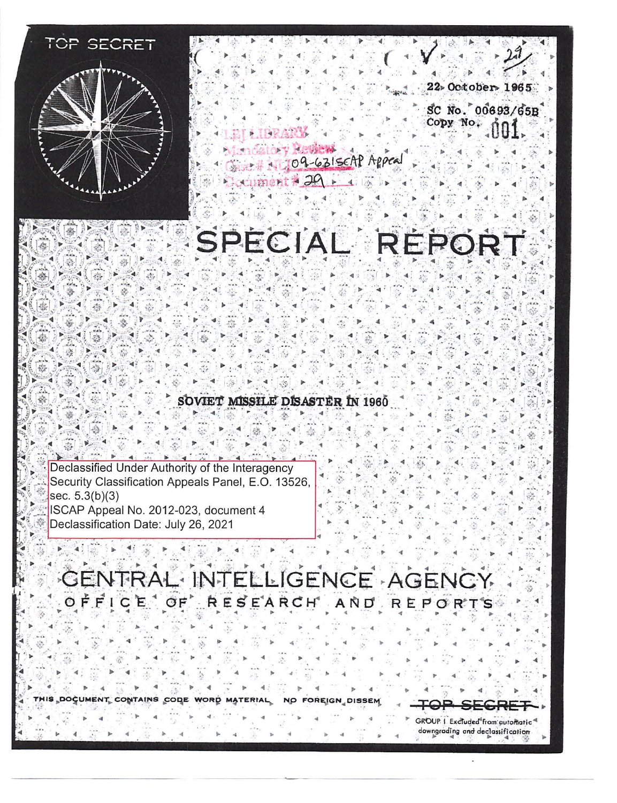

!

 $\triangleright$  . If  $\mathbb{R}^n \rightarrow \mathbb{R}$ 

► ◄ ,,

**This** document . . . ► ►

 $\mathbf{e} = \mathbf{e}$ 

◄ ► ► '

◄ .- ► ◄

code .

► ◄

► ◄ WORD

► ·

►

◄

► ◄

contains . . ... . ◄

► ◄

◄

◄

. .  $\mathcal{L} = \mathcal{L} \times \mathcal{L} \times \mathcal{L}$ =4 . ◄ . ◄ ► 22» October 1965 SC No. 00693/65B ► ◄ ► ◄ Copy No. ► ► . . . ,'· ◄ u **Le la Use** . . . 109-631scAP Appeal

ument + 29

# SPECIAL REPORT

SOVIET MISSILE DISASTER IN 1960

Declassified Under Authority of the Interagency Security Classification Appeals Panel, E.O. 13526, sec.  $5.3(b)(3)$ ISCAP Appeal No. 2012-023, document 4 Declassification Date: July 26, 2021

GENTRAL INTELLIGENCE AGENCY OFFICE OF RESEARCH AND REPORTS ►

도 다음 그 부분이 아니라 그는 아이를 하는 것이 아니라 이 아이를 하는 것이다. 이 사람은 아이들이 아니라 그는 사람들이 아니라 그는 아이들에 대해 주세요.

► ◄

►

No

► ◄

,•, ►

► • ► MATE ,.

◄

◄

◄

◄ ◄ ► ,. ◄ ► '

◄ ► ◄

◄

Foreign Dissem .. ◄ ► ◄ S<del>ec</del>r GROUP | Excluded from automatic

downgrading and declassification

독 노래 트럭의 독일 랜드(600~2015) 31년~

◄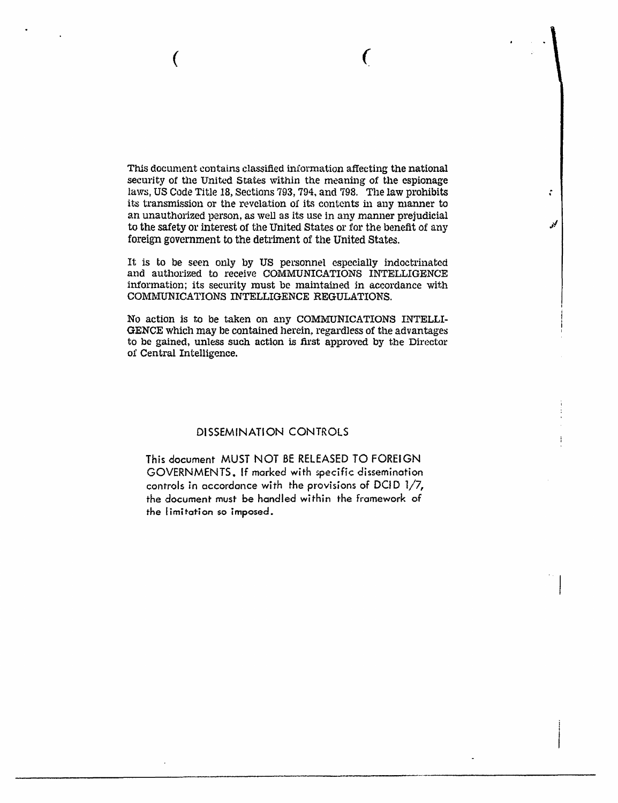This document contains classified information affecting the national security of the United States within the meaning of the espionage laws, US Code Title 18, Sections 793, 794, and 798. The law prohibits its transmission or the revelation of its contents in any manner to an unauthorized person, as well as its use in any manner prejudicial to the safety or interest of the United States or for the benefit of any foreign government to the detriment of the United States.

÷

گني

( *(* 

It is to be seen only by US personnel especially indoctrinated and authorized to receive COMMUNICATIONS INTELLIGENCE information; its security must be maintained in accordance with COMMUNICATIONS INTELLIGENCE REGULATIONS.

No action is to be taken on any COMMUNICATIONS INTELLI-GENCE which may be contained herein, regardless of the advantages to be gained, unless such action is first approved by the Director of Central Intelligence.

# DISSEMINATION CONTROLS

This document MUST NOT BE RELEASED TO FOREIGN GOVERNMENTS. If marked with specific dissemination controls in accordance with the provisions of DCID  $1/7$ , the document must be handled within the framework of the limitation so imposed.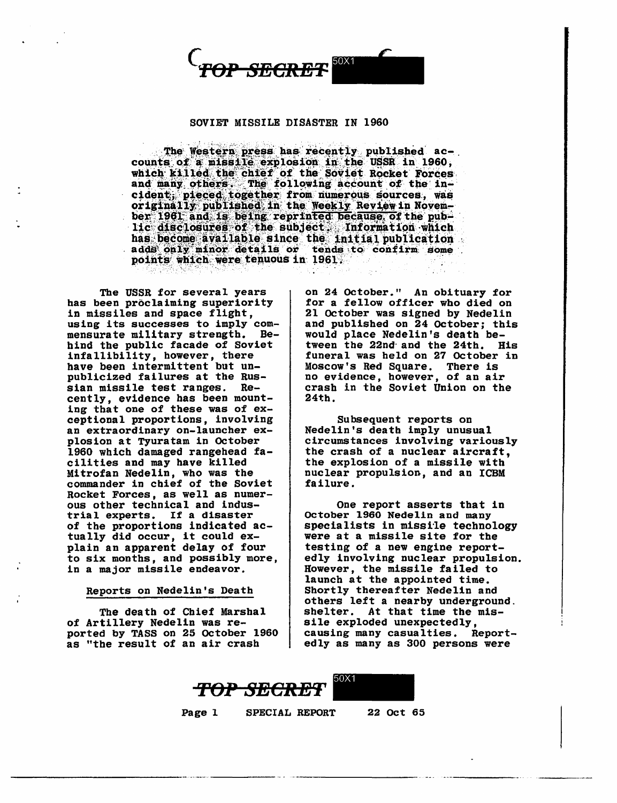

## SOVIET MISSILE DISASTER IN 1960

The Western press has recently published accounts of a missile explosion in the USSR in 1960, which killed the chief of the Soviet Rocket Forces and many others. The following account of the incident; pieced together from numerous sources, was originally published in the Weekly Review in November 1961 and is being reprinted because of the public disclosures of the subject. Information which has become available since the initial publication<br>adds only minor details or tends to confirm some points which were tenuous in 1961.

The USSR for several years bas been proclaiming superiority in missiles and space flight, using its successes to imply commensurate military strength. Behind the public facade of Soviet infallibility, however, there have been intermittent but unpublicized failures at the Russian missile test ranges. Recently, evidence has been mounting that one of these was of exceptional proportions, involving an extraordinary on-launcher explosion at Tyuratam in October 1960 which damaged rangehead facilities and may have killed Mitrofan Nedelin, who was the commander in chief of the Soviet Rocket Forces, as well as numerous other technical and industrial experts. If a disaster of the proportions indicated actually did occur, it could explain an apparent delay of four to six months, and possibly more, in a major missile endeavor.

### Reports on Nedelin's Death

The death of Chief Marshal of Artillery Nedelin was reported by TASS on 25 October 1960 as "the result of an air crash

on 24 October." An obituary for for a fellow officer who died on 21 October was signed by Nedelin and published on 24 October; this would place Nedelin's death between the 22nd· and the 24th. His funeral was held on 27 October in Moscow's Red Square. There is no evidence, however, of an air crash in the Soviet Union on the 24th.

Subsequent reports on Nedelin's death imply unusual circumstances involving variously the crash of a nuclear aircraft, the explosion of a missile with nuclear propulsion, and an ICBM failure.

One report asserts that in October 1960 Nedelin and many specialists in missile technology were at a missile site for the testing of a new engine reportedly involving nuclear propulsion. However, the missile failed to launch at the appointed time. Shortly thereafter Nedelin and others left a nearby underground. shelter. At that time the missile exploded unexpectedly,<br>causing many casualties. Reportedly as many as 300 persons were



Page 1 SPECIAL REPORT 22 Oct 65

----------·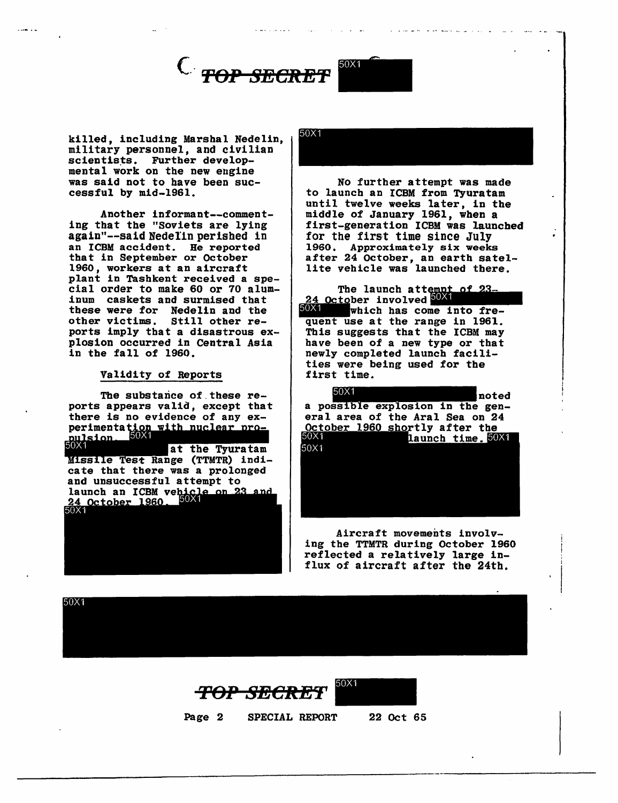



killed, including Marshal Nedelin, military personnel, and civilian scientists. Further developmental work on the new engine was said not to have been successful by mid-1961.

Another informant--commenting that the "Soviets are lying again"--said Nedelin perished in an ICBM accident. He reported that in September or October 1960, workers at an aircraft plant in Tashkent received a special order to make 60 or 70 aluminum caskets and surmised that these were for Nedelin and the<br>other victims. Still other reother victims. ports imply that a disastrous explosion occurred in Central Asia in the fall of 1960.

### Validity of Reports

The substance of these reports appears valid, except that there is no evidence of any experimentation with nuclear pro-<br>pulsion. 50% at the Tyuratam Missile Test Range (TTMTR) indicate that there was a prolonged and unsuccessful attempt to launch an ICBM vehicle on 23 <u>24 October 1960.</u>

50X1

No further attempt was made to launch an ICBM from Tyuratam until twelve weeks later, in the middle of January 1961, when a first-generation ICBM was launched for the first time since July 1960. Approximately six weeks after 24 October, an earth satellite vehicle was launched there. 1960. Approximately six weeks<br>
after 24 October, an earth satel-<br>
lite vehicle was launched there.<br>
The launch attempt of 23-<br>
24 October involved 50X1<br>
which has come into fre-

 $\frac{24}{50}$  October involved  $\frac{50}{10}$ <br> $\frac{1}{100}$  which has come into fre-Which has come into fre-<br>quent use at the range in 1961.<br>This suggests that the ICBM may have been of a new type or that newly completed launch facilities were being used for the first time.

 $50X1$ noted a possible explosion in the general area of the Aral Sea on 24 October 1960 shortly after the<br>5004 aunch time 50 launch time. 50X1 50X1

Aircraft movements involving the TTMTR during October 1960 reflected a relatively large influx of aircraft after the 24th.

50X1

**Top SECRET** 50X1



Page 2 SPECIAL REPORT 22 Oct 65